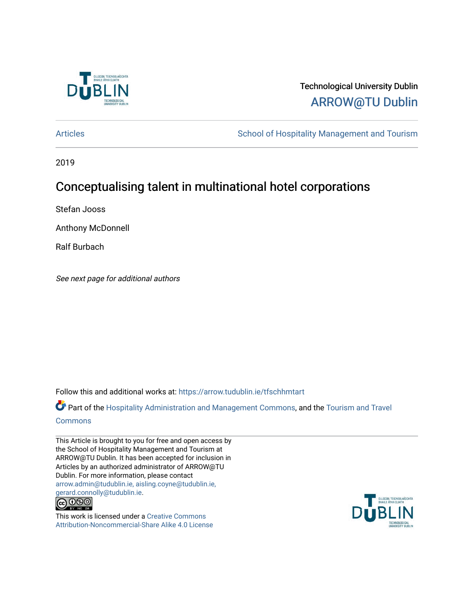

## Technological University Dublin [ARROW@TU Dublin](https://arrow.tudublin.ie/)

[Articles](https://arrow.tudublin.ie/tfschhmtart) **School of Hospitality Management and Tourism** 

2019

# Conceptualising talent in multinational hotel corporations

Stefan Jooss

Anthony McDonnell

Ralf Burbach

See next page for additional authors

Follow this and additional works at: [https://arrow.tudublin.ie/tfschhmtart](https://arrow.tudublin.ie/tfschhmtart?utm_source=arrow.tudublin.ie%2Ftfschhmtart%2F91&utm_medium=PDF&utm_campaign=PDFCoverPages) 

Part of the [Hospitality Administration and Management Commons,](http://network.bepress.com/hgg/discipline/632?utm_source=arrow.tudublin.ie%2Ftfschhmtart%2F91&utm_medium=PDF&utm_campaign=PDFCoverPages) and the [Tourism and Travel](http://network.bepress.com/hgg/discipline/1082?utm_source=arrow.tudublin.ie%2Ftfschhmtart%2F91&utm_medium=PDF&utm_campaign=PDFCoverPages)

**[Commons](http://network.bepress.com/hgg/discipline/1082?utm_source=arrow.tudublin.ie%2Ftfschhmtart%2F91&utm_medium=PDF&utm_campaign=PDFCoverPages)** 

This Article is brought to you for free and open access by the School of Hospitality Management and Tourism at ARROW@TU Dublin. It has been accepted for inclusion in Articles by an authorized administrator of ARROW@TU Dublin. For more information, please contact [arrow.admin@tudublin.ie, aisling.coyne@tudublin.ie,](mailto:arrow.admin@tudublin.ie,%20aisling.coyne@tudublin.ie,%20gerard.connolly@tudublin.ie)  [gerard.connolly@tudublin.ie](mailto:arrow.admin@tudublin.ie,%20aisling.coyne@tudublin.ie,%20gerard.connolly@tudublin.ie).



This work is licensed under a [Creative Commons](http://creativecommons.org/licenses/by-nc-sa/4.0/) [Attribution-Noncommercial-Share Alike 4.0 License](http://creativecommons.org/licenses/by-nc-sa/4.0/)

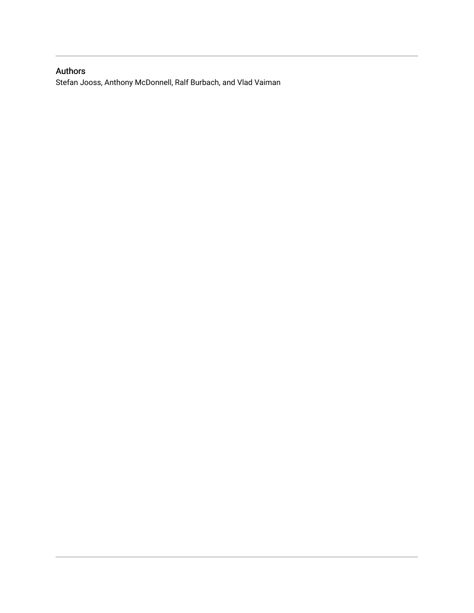### Authors

Stefan Jooss, Anthony McDonnell, Ralf Burbach, and Vlad Vaiman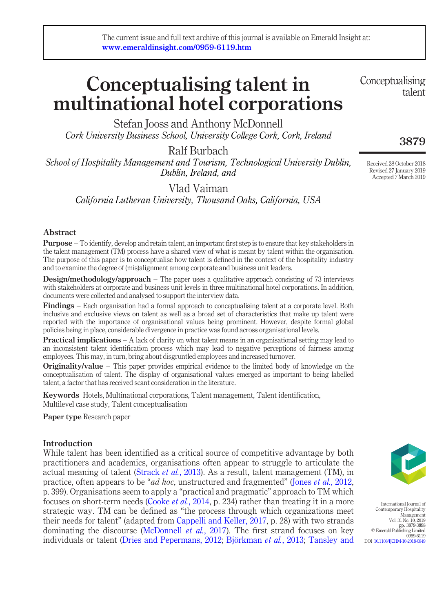# Conceptualising talent in multinational hotel corporations

Stefan Jooss and Anthony McDonnell Cork University Business School, University College Cork, Cork, Ireland

Ralf Burbach School of Hospitality Management and Tourism, Technological University Dublin, Dublin, Ireland, and

> Vlad Vaiman California Lutheran University, Thousand Oaks, California, USA

Abstract

Purpose – To identify, develop and retain talent, an important first step is to ensure that key stakeholders in the talent management (TM) process have a shared view of what is meant by talent within the organisation. The purpose of this paper is to conceptualise how talent is defined in the context of the hospitality industry and to examine the degree of (mis)alignment among corporate and business unit leaders.

**Design/methodology/approach** – The paper uses a qualitative approach consisting of 73 interviews with stakeholders at corporate and business unit levels in three multinational hotel corporations. In addition, documents were collected and analysed to support the interview data.

Findings – Each organisation had a formal approach to conceptualising talent at a corporate level. Both inclusive and exclusive views on talent as well as a broad set of characteristics that make up talent were reported with the importance of organisational values being prominent. However, despite formal global policies being in place, considerable divergence in practice was found across organisational levels.

**Practical implications** – A lack of clarity on what talent means in an organisational setting may lead to an inconsistent talent identification process which may lead to negative perceptions of fairness among employees. This may, in turn, bring about disgruntled employees and increased turnover.

**Originality/value** – This paper provides empirical evidence to the limited body of knowledge on the conceptualisation of talent. The display of organisational values emerged as important to being labelled talent, a factor that has received scant consideration in the literature.

Keywords Hotels, Multinational corporations, Talent management, Talent identification, Multilevel case study, Talent conceptualisation

Paper type Research paper

#### Introduction

While talent has been identified as a critical source of competitive advantage by both practitioners and academics, organisations often appear to struggle to articulate the actual meaning of talent ([Strack](#page-21-0) *et al.*, 2013). As a result, talent management (TM), in practice, often appears to be "*ad hoc*, unstructured and fragmented" (Jones *et al.*[, 2012](#page-20-0), p. 399). Organisations seem to apply a "practical and pragmatic" approach to TM which focuses on short-term needs [\(Cooke](#page-19-0) et al., 2014, p. 234) rather than treating it in a more strategic way. TM can be defined as "the process through which organizations meet their needs for talent" (adapted from [Cappelli and Keller, 2017](#page-18-0), p. 28) with two strands dominating the discourse ([McDonnell](#page-20-1) *et al.*, 2017). The first strand focuses on key individuals or talent ([Dries and Pepermans, 2012;](#page-19-1) [Björkman](#page-18-1) et al., 2013; [Tansley and](#page-21-1)



International Journal of Contemporary Hospitality Management Vol. 31 No. 10, 2019 pp. 3879-3898 © Emerald Publishing Limited 0959-6119 DOI [10.1108/IJCHM-10-2018-0849](http://dx.doi.org/10.1108/IJCHM-10-2018-0849)

Received 28 October 2018 Revised 27 January 2019 Accepted 7 March 2019

Conceptualising

talent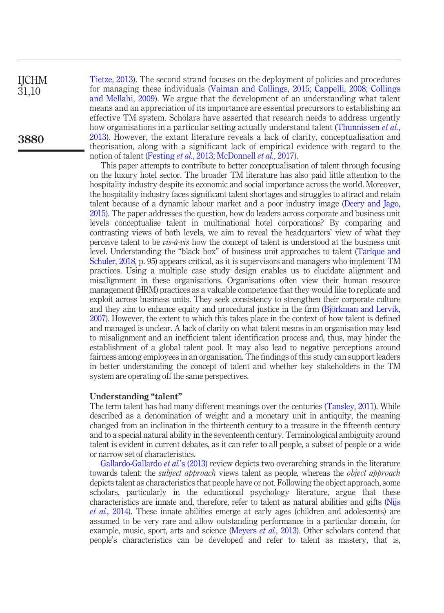[Tietze, 2013\)](#page-21-1). The second strand focuses on the deployment of policies and procedures for managing these individuals ([Vaiman and Collings, 2015](#page-21-2); [Cappelli, 2008;](#page-18-2) [Collings](#page-18-3) [and Mellahi, 2009](#page-18-3)). We argue that the development of an understanding what talent means and an appreciation of its importance are essential precursors to establishing an effective TM system. Scholars have asserted that research needs to address urgently how organisations in a particular setting actually understand talent ([Thunnissen](#page-21-3) *et al.*, [2013](#page-21-3)). However, the extant literature reveals a lack of clarity, conceptualisation and theorisation, along with a significant lack of empirical evidence with regard to the notion of talent [\(Festing](#page-19-2) et al., 2013; [McDonnell](#page-20-1) et al., 2017). IJCHM

> This paper attempts to contribute to better conceptualisation of talent through focusing on the luxury hotel sector. The broader TM literature has also paid little attention to the hospitality industry despite its economic and social importance across the world. Moreover, the hospitality industry faces significant talent shortages and struggles to attract and retain talent because of a dynamic labour market and a poor industry image ([Deery and Jago,](#page-19-3) [2015](#page-19-3)). The paper addresses the question, how do leaders across corporate and business unit levels conceptualise talent in multinational hotel corporations? By comparing and contrasting views of both levels, we aim to reveal the headquarters' view of what they perceive talent to be  $vis\cdot\hat{a}-vis$  how the concept of talent is understood at the business unit level. Understanding the "black box" of business unit approaches to talent ([Tarique and](#page-21-4) [Schuler, 2018](#page-21-4), p. 95) appears critical, as it is supervisors and managers who implement TM practices. Using a multiple case study design enables us to elucidate alignment and misalignment in these organisations. Organisations often view their human resource management (HRM) practices as a valuable competence that they would like to replicate and exploit across business units. They seek consistency to strengthen their corporate culture and they aim to enhance equity and procedural justice in the firm [\(Björkman and Lervik,](#page-18-4) [2007](#page-18-4)). However, the extent to which this takes place in the context of how talent is defined and managed is unclear. A lack of clarity on what talent means in an organisation may lead to misalignment and an inefficient talent identification process and, thus, may hinder the establishment of a global talent pool. It may also lead to negative perceptions around fairness among employees in an organisation. The findings of this study can support leaders in better understanding the concept of talent and whether key stakeholders in the TM system are operating off the same perspectives.

#### Understanding "talent"

The term talent has had many different meanings over the centuries [\(Tansley, 2011\)](#page-21-5). While described as a denomination of weight and a monetary unit in antiquity, the meaning changed from an inclination in the thirteenth century to a treasure in the fifteenth century and to a special natural ability in the seventeenth century. Terminological ambiguity around talent is evident in current debates, as it can refer to all people, a subset of people or a wide or narrow set of characteristics.

[Gallardo-Gallardo](#page-19-4) *et al.*'s (2013) review depicts two overarching strands in the literature towards talent: the *subject approach* views talent as people, whereas the *object approach* depicts talent as characteristics that people have or not. Following the object approach, some scholars, particularly in the educational psychology literature, argue that these characteristics are innate and, therefore, refer to talent as natural abilities and gifts ([Nijs](#page-20-2) et al.[, 2014\)](#page-20-2). These innate abilities emerge at early ages (children and adolescents) are assumed to be very rare and allow outstanding performance in a particular domain, for example, music, sport, arts and science [\(Meyers](#page-20-3) *et al.*, 2013). Other scholars contend that people's characteristics can be developed and refer to talent as mastery, that is,

31,10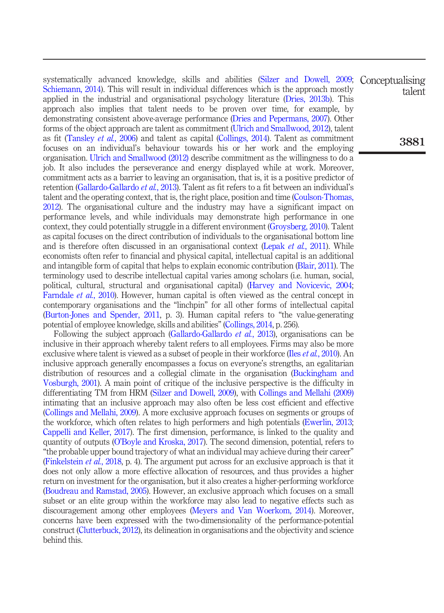systematically advanced knowledge, skills and abilities [\(Silzer and Dowell, 2009](#page-20-4); Conceptualising [Schiemann, 2014](#page-20-5)). This will result in individual differences which is the approach mostly applied in the industrial and organisational psychology literature [\(Dries, 2013b\)](#page-19-5). This approach also implies that talent needs to be proven over time, for example, by demonstrating consistent above-average performance ([Dries and Pepermans, 2007](#page-19-6)). Other forms of the object approach are talent as commitment ([Ulrich and Smallwood, 2012\)](#page-21-6), talent as fit [\(Tansley](#page-21-7) et al., 2006) and talent as capital [\(Collings, 2014](#page-18-5)). Talent as commitment focuses on an individual's behaviour towards his or her work and the employing organisation. [Ulrich and Smallwood \(2012\)](#page-21-6) describe commitment as the willingness to do a job. It also includes the perseverance and energy displayed while at work. Moreover, commitment acts as a barrier to leaving an organisation, that is, it is a positive predictor of retention [\(Gallardo-Gallardo](#page-19-4) *et al.*, 2013). Talent as fit refers to a fit between an individual's talent and the operating context, that is, the right place, position and time [\(Coulson-Thomas,](#page-19-7) [2012\)](#page-19-7). The organisational culture and the industry may have a significant impact on performance levels, and while individuals may demonstrate high performance in one context, they could potentially struggle in a different environment ([Groysberg, 2010\)](#page-19-8). Talent as capital focuses on the direct contribution of individuals to the organisational bottom line and is therefore often discussed in an organisational context [\(Lepak](#page-20-6) *et al.*, 2011). While economists often refer to financial and physical capital, intellectual capital is an additional and intangible form of capital that helps to explain economic contribution ([Blair, 2011](#page-18-6)). The terminology used to describe intellectual capital varies among scholars (i.e. human, social, political, cultural, structural and organisational capital) [\(Harvey and Novicevic, 2004](#page-19-9); [Farndale](#page-19-10) et al., 2010). However, human capital is often viewed as the central concept in contemporary organisations and the "linchpin" for all other forms of intellectual capital [\(Burton-Jones and Spender, 2011,](#page-18-7) p. 3). Human capital refers to "the value-generating potential of employee knowledge, skills and abilities" [\(Collings, 2014,](#page-18-5) p. 256).

Following the subject approach ([Gallardo-Gallardo](#page-19-4) et al., 2013), organisations can be inclusive in their approach whereby talent refers to all employees. Firms may also be more exclusive where talent is viewed as a subset of people in their workforce (Iles *et al.*[, 2010\)](#page-20-7). An inclusive approach generally encompasses a focus on everyone's strengths, an egalitarian distribution of resources and a collegial climate in the organisation ([Buckingham and](#page-18-8) [Vosburgh, 2001](#page-18-8)). A main point of critique of the inclusive perspective is the difficulty in differentiating TM from HRM ([Silzer and Dowell, 2009](#page-20-4)), with [Collings and Mellahi \(2009\)](#page-18-3) intimating that an inclusive approach may also often be less cost efficient and effective [\(Collings and Mellahi, 2009](#page-18-3)). A more exclusive approach focuses on segments or groups of the workforce, which often relates to high performers and high potentials ([Ewerlin, 2013](#page-19-11); [Cappelli and Keller, 2017\)](#page-18-0). The first dimension, performance, is linked to the quality and quantity of outputs (O'[Boyle and Kroska, 2017](#page-20-8)). The second dimension, potential, refers to "the probable upper bound trajectory of what an individual may achieve during their career" [\(Finkelstein](#page-19-12) et al., 2018, p. 4). The argument put across for an exclusive approach is that it does not only allow a more effective allocation of resources, and thus provides a higher return on investment for the organisation, but it also creates a higher-performing workforce [\(Boudreau and Ramstad, 2005\)](#page-18-9). However, an exclusive approach which focuses on a small subset or an elite group within the workforce may also lead to negative effects such as discouragement among other employees ([Meyers and Van Woerkom, 2014](#page-20-9)). Moreover, concerns have been expressed with the two-dimensionality of the performance-potential construct ([Clutterbuck, 2012\)](#page-18-10), its delineation in organisations and the objectivity and science behind this.

talent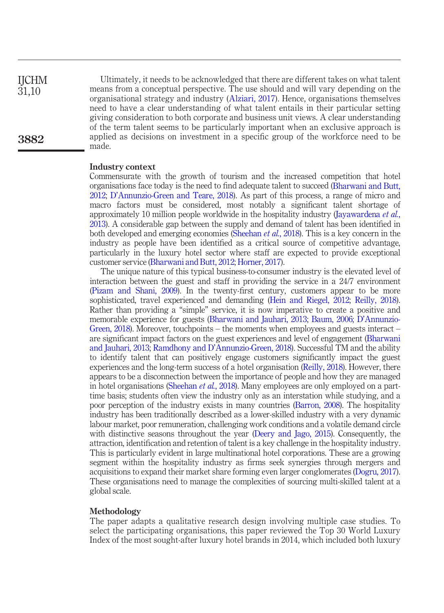Ultimately, it needs to be acknowledged that there are different takes on what talent means from a conceptual perspective. The use should and will vary depending on the organisational strategy and industry [\(Alziari, 2017\)](#page-18-11). Hence, organisations themselves need to have a clear understanding of what talent entails in their particular setting giving consideration to both corporate and business unit views. A clear understanding of the term talent seems to be particularly important when an exclusive approach is applied as decisions on investment in a specific group of the workforce need to be made. IJCHM 31,10 3882

#### Industry context

Commensurate with the growth of tourism and the increased competition that hotel organisations face today is the need to find adequate talent to succeed [\(Bharwani and Butt,](#page-18-12) [2012](#page-18-12); D'[Annunzio-Green and Teare, 2018](#page-19-13)). As part of this process, a range of micro and macro factors must be considered, most notably a significant talent shortage of approximately 10 million people worldwide in the hospitality industry [\(Jayawardena](#page-20-10) *et al.*, [2013](#page-20-10)). A considerable gap between the supply and demand of talent has been identified in both developed and emerging economies [\(Sheehan](#page-20-11) et al., 2018). This is a key concern in the industry as people have been identified as a critical source of competitive advantage, particularly in the luxury hotel sector where staff are expected to provide exceptional customer service [\(Bharwani and Butt, 2012](#page-18-12); [Horner, 2017](#page-19-14)).

The unique nature of this typical business-to-consumer industry is the elevated level of interaction between the guest and staff in providing the service in a 24/7 environment [\(Pizam and Shani, 2009](#page-20-12)). In the twenty-first century, customers appear to be more sophisticated, travel experienced and demanding [\(Hein and Riegel, 2012](#page-19-15); [Reilly, 2018\)](#page-20-13). Rather than providing a "simple" service, it is now imperative to create a positive and memorable experience for guests ([Bharwani and Jauhari, 2013](#page-18-13); [Baum, 2006;](#page-18-14) D'[Annunzio-](#page-19-16)[Green, 2018\)](#page-19-16). Moreover, touchpoints – the moments when employees and guests interact – are significant impact factors on the guest experiences and level of engagement ([Bharwani](#page-18-13) [and Jauhari, 2013;](#page-18-13) Ramdhony and D'[Annunzio-Green, 2018\)](#page-20-14). Successful TM and the ability to identify talent that can positively engage customers significantly impact the guest experiences and the long-term success of a hotel organisation [\(Reilly, 2018\)](#page-20-13). However, there appears to be a disconnection between the importance of people and how they are managed in hotel organisations [\(Sheehan](#page-20-11) *et al.*, 2018). Many employees are only employed on a parttime basis; students often view the industry only as an interstation while studying, and a poor perception of the industry exists in many countries [\(Barron, 2008\)](#page-18-15). The hospitality industry has been traditionally described as a lower-skilled industry with a very dynamic labour market, poor remuneration, challenging work conditions and a volatile demand circle with distinctive seasons throughout the year ([Deery and Jago, 2015\)](#page-19-3). Consequently, the attraction, identification and retention of talent is a key challenge in the hospitality industry. This is particularly evident in large multinational hotel corporations. These are a growing segment within the hospitality industry as firms seek synergies through mergers and acquisitions to expand their market share forming even larger conglomerates ([Dogru, 2017\)](#page-19-17). These organisations need to manage the complexities of sourcing multi-skilled talent at a global scale.

#### Methodology

The paper adapts a qualitative research design involving multiple case studies. To select the participating organisations, this paper reviewed the Top 30 World Luxury Index of the most sought-after luxury hotel brands in 2014, which included both luxury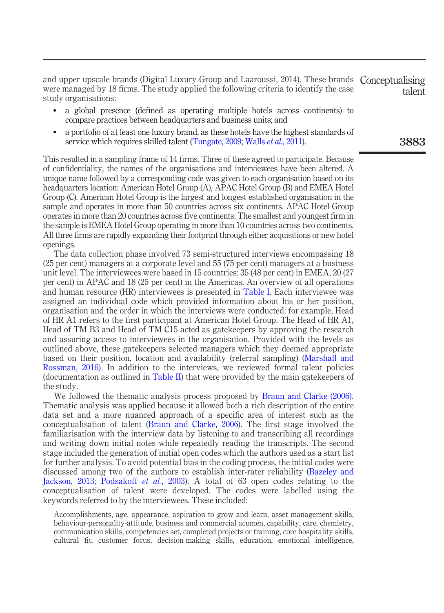and upper upscale brands (Digital Luxury Group and Laaroussi, 2014). These brands Conceptualising were managed by 18 firms. The study applied the following criteria to identify the case study organisations: talent

- a global presence (defined as operating multiple hotels across continents) to compare practices between headquarters and business units; and
- a portfolio of at least one luxury brand, as these hotels have the highest standards of service which requires skilled talent ([Tungate, 2009](#page-21-8); [Walls](#page-21-9) *et al.*, 2011).

This resulted in a sampling frame of 14 firms. Three of these agreed to participate. Because of confidentiality, the names of the organisations and interviewees have been altered. A unique name followed by a corresponding code was given to each organisation based on its headquarters location: American Hotel Group (A), APAC Hotel Group (B) and EMEA Hotel Group (C). American Hotel Group is the largest and longest established organisation in the sample and operates in more than 50 countries across six continents. APAC Hotel Group operates in more than 20 countries across five continents. The smallest and youngest firm in the sample is EMEA Hotel Group operating in more than 10 countries across two continents. All three firms are rapidly expanding their footprint through either acquisitions or new hotel openings.

The data collection phase involved 73 semi-structured interviews encompassing 18 (25 per cent) managers at a corporate level and 55 (75 per cent) managers at a business unit level. The interviewees were based in 15 countries: 35 (48 per cent) in EMEA, 20 (27 per cent) in APAC and 18 (25 per cent) in the Americas. An overview of all operations and human resource (HR) interviewees is presented in [Table I.](#page-7-0) Each interviewee was assigned an individual code which provided information about his or her position, organisation and the order in which the interviews were conducted: for example, Head of HR A1 refers to the first participant at American Hotel Group. The Head of HR A1, Head of TM B3 and Head of TM C15 acted as gatekeepers by approving the research and assuring access to interviewees in the organisation. Provided with the levels as outlined above, these gatekeepers selected managers which they deemed appropriate based on their position, location and availability (referral sampling) ([Marshall and](#page-20-15) [Rossman, 2016\)](#page-20-15). In addition to the interviews, we reviewed formal talent policies (documentation as outlined in [Table II](#page-8-0)) that were provided by the main gatekeepers of the study.

We followed the thematic analysis process proposed by [Braun and Clarke \(2006\)](#page-18-16). Thematic analysis was applied because it allowed both a rich description of the entire data set and a more nuanced approach of a specific area of interest such as the conceptualisation of talent ([Braun and Clarke, 2006\)](#page-18-16). The first stage involved the familiarisation with the interview data by listening to and transcribing all recordings and writing down initial notes while repeatedly reading the transcripts. The second stage included the generation of initial open codes which the authors used as a start list for further analysis. To avoid potential bias in the coding process, the initial codes were discussed among two of the authors to establish inter-rater reliability ([Bazeley and](#page-18-17) [Jackson, 2013;](#page-18-17) [Podsakoff](#page-20-16) et al., 2003). A total of 63 open codes relating to the conceptualisation of talent were developed. The codes were labelled using the keywords referred to by the interviewees. These included:

Accomplishments, age, appearance, aspiration to grow and learn, asset management skills, behaviour-personality-attitude, business and commercial acumen, capability, care, chemistry, communication skills, competencies set, completed projects or training, core hospitality skills, cultural fit, customer focus, decision-making skills, education, emotional intelligence,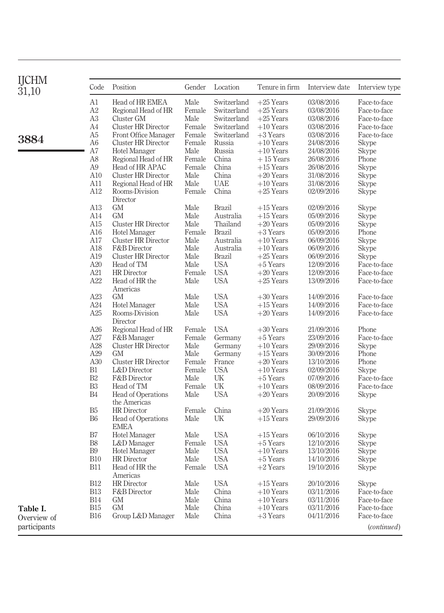<span id="page-7-0"></span>

| <b>IJCHM</b><br>31,10 | Code           | Position                                 | Gender | Location      | Tenure in firm | Interview date | Interview type |
|-----------------------|----------------|------------------------------------------|--------|---------------|----------------|----------------|----------------|
|                       | A1             | Head of HR EMEA                          | Male   | Switzerland   | $+25$ Years    | 03/08/2016     | Face-to-face   |
|                       | A2             | Regional Head of HR                      | Female | Switzerland   | $+25$ Years    | 03/08/2016     | Face-to-face   |
|                       | A3             | Cluster GM                               | Male   | Switzerland   | $+25$ Years    | 03/08/2016     | Face-to-face   |
|                       | A4             | Cluster HR Director                      | Female | Switzerland   | $+10$ Years    | 03/08/2016     | Face-to-face   |
|                       | A <sub>5</sub> | Front Office Manager                     | Female | Switzerland   | $+3$ Years     | 03/08/2016     | Face-to-face   |
| 3884                  | A6             | Cluster HR Director                      | Female | Russia        | $+10$ Years    | 24/08/2016     | Skype          |
|                       | A7             | Hotel Manager                            | Male   | Russia        | $+10$ Years    | 24/08/2016     | Skype          |
|                       | A8             | Regional Head of HR                      | Female | China         | $+15$ Years    | 26/08/2016     | Phone          |
|                       | A9             | Head of HR APAC                          | Female | China         | $+15$ Years    | 26/08/2016     | Skype          |
|                       | A10            | Cluster HR Director                      | Male   | China         | $+20$ Years    | 31/08/2016     | <b>Skype</b>   |
|                       | A11            | Regional Head of HR                      | Male   | <b>UAE</b>    | $+10$ Years    | 31/08/2016     | <b>Skype</b>   |
|                       | A12            | Rooms-Division<br>Director               | Female | China         | $+25$ Years    | 02/09/2016     | Skype          |
|                       | A13            | GМ                                       | Male   | <b>Brazil</b> | $+15$ Years    | 02/09/2016     | <b>Skype</b>   |
|                       | A14            | <b>GM</b>                                | Male   | Australia     | $+15$ Years    | 05/09/2016     | <b>Skype</b>   |
|                       | A15            | Cluster HR Director                      | Male   | Thailand      | $+20$ Years    | 05/09/2016     | <b>Skype</b>   |
|                       | A16            | Hotel Manager                            | Female | <b>Brazil</b> | $+3$ Years     | 05/09/2016     | Phone          |
|                       | A17            | Cluster HR Director                      | Male   | Australia     | $+10$ Years    | 06/09/2016     | <b>Skype</b>   |
|                       | A18            | F&B Director                             | Male   | Australia     | $+10$ Years    | 06/09/2016     | <b>Skype</b>   |
|                       | A19            | Cluster HR Director                      | Male   | Brazil        | $+25$ Years    | 06/09/2016     | <b>Skype</b>   |
|                       | A20            | Head of TM                               | Male   | <b>USA</b>    | $+5$ Years     | 12/09/2016     | Face-to-face   |
|                       | A21<br>A22     | <b>HR</b> Director<br>Head of HR the     | Female | <b>USA</b>    | $+20$ Years    | 12/09/2016     | Face-to-face   |
|                       |                | Americas                                 | Male   | <b>USA</b>    | $+25$ Years    | 13/09/2016     | Face-to-face   |
|                       | A23            | GМ                                       | Male   | <b>USA</b>    | $+30$ Years    | 14/09/2016     | Face-to-face   |
|                       | A24            | Hotel Manager                            | Male   | <b>USA</b>    | $+15$ Years    | 14/09/2016     | Face-to-face   |
|                       | A25            | Rooms-Division<br>Director               | Male   | <b>USA</b>    | $+20$ Years    | 14/09/2016     | Face-to-face   |
|                       | A26            | Regional Head of HR                      | Female | <b>USA</b>    | $+30$ Years    | 21/09/2016     | Phone          |
|                       | A27            | F&B Manager                              | Female | Germany       | $+5$ Years     | 23/09/2016     | Face-to-face   |
|                       | A28            | Cluster HR Director                      | Male   | Germany       | $+10$ Years    | 29/09/2016     | Skype          |
|                       | A29            | <b>GM</b>                                | Male   | Germany       | $+15$ Years    | 30/09/2016     | Phone          |
|                       | A30            | Cluster HR Director                      | Female | France        | $+20$ Years    | 13/10/2016     | Phone          |
|                       | B1             | L&D Director                             | Female | <b>USA</b>    | $+10$ Years    | 02/09/2016     | Skype          |
|                       | B <sub>2</sub> | F&B Director                             | Male   | UK            | $+5$ Years     | 07/09/2016     | Face-to-face   |
|                       | B <sub>3</sub> | Head of TM                               | Female | UK            | $+10$ Years    | 08/09/2016     | Face-to-face   |
|                       | <b>B4</b>      | Head of Operations<br>the Americas       | Male   | <b>USA</b>    | $+20$ Years    | 20/09/2016     | Skype          |
|                       | B <sub>5</sub> | <b>HR</b> Director                       | Female | China         | $+20$ Years    | 21/09/2016     | <b>Skype</b>   |
|                       | B <sub>6</sub> | <b>Head of Operations</b><br><b>EMEA</b> | Male   | UK            | $+15$ Years    | 29/09/2016     | <b>Skype</b>   |
|                       | B7             | Hotel Manager                            | Male   | <b>USA</b>    | $+15$ Years    | 06/10/2016     | <b>Skype</b>   |
|                       | B8             | L&D Manager                              | Female | <b>USA</b>    | $+5$ Years     | 12/10/2016     | <b>Skype</b>   |
|                       | B <sub>9</sub> | Hotel Manager                            | Male   | <b>USA</b>    | $+10$ Years    | 13/10/2016     | <b>Skype</b>   |
|                       | <b>B10</b>     | <b>HR</b> Director                       | Male   | <b>USA</b>    | $+5$ Years     | 14/10/2016     | <b>Skype</b>   |
|                       | <b>B11</b>     | Head of HR the<br>Americas               | Female | <b>USA</b>    | $+2$ Years     | 19/10/2016     | Skype          |
|                       | <b>B12</b>     | HR Director                              | Male   | <b>USA</b>    | $+15$ Years    | 20/10/2016     | Skype          |
|                       | <b>B13</b>     | F&B Director                             | Male   | China         | $+10$ Years    | 03/11/2016     | Face-to-face   |
|                       | <b>B14</b>     | GM                                       | Male   | China         | $+10$ Years    | 03/11/2016     | Face-to-face   |
| Table I.              | <b>B15</b>     | <b>GM</b>                                | Male   | China         | $+10$ Years    | 03/11/2016     | Face-to-face   |
| Overview of           | <b>B16</b>     | Group L&D Manager                        | Male   | China         | $+3$ Years     | 04/11/2016     | Face-to-face   |
| participants          |                |                                          |        |               |                |                | (continued)    |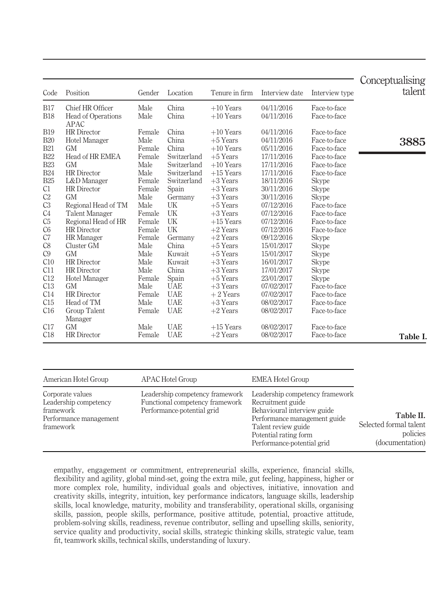| Code           | Position                          | Gender | Location    | Tenure in firm | Interview date | Interview type | Conceptualising<br>talent |
|----------------|-----------------------------------|--------|-------------|----------------|----------------|----------------|---------------------------|
| <b>B17</b>     | Chief HR Officer                  | Male   | China       | $+10$ Years    | 04/11/2016     | Face-to-face   |                           |
| <b>B18</b>     | <b>Head of Operations</b><br>APAC | Male   | China       | $+10$ Years    | 04/11/2016     | Face-to-face   |                           |
| <b>B19</b>     | <b>HR</b> Director                | Female | China       | $+10$ Years    | 04/11/2016     | Face-to-face   |                           |
| <b>B20</b>     | Hotel Manager                     | Male   | China       | $+5$ Years     | 04/11/2016     | Face-to-face   | 3885                      |
| <b>B21</b>     | <b>GM</b>                         | Female | China       | $+10$ Years    | 05/11/2016     | Face-to-face   |                           |
| <b>B22</b>     | Head of HR EMEA                   | Female | Switzerland | $+5$ Years     | 17/11/2016     | Face-to-face   |                           |
| <b>B23</b>     | <b>GM</b>                         | Male   | Switzerland | $+10$ Years    | 17/11/2016     | Face-to-face   |                           |
| <b>B24</b>     | <b>HR</b> Director                | Male   | Switzerland | $+15$ Years    | 17/11/2016     | Face-to-face   |                           |
| <b>B25</b>     | L&D Manager                       | Female | Switzerland | $+3$ Years     | 18/11/2016     | <b>Skype</b>   |                           |
| C1             | <b>HR</b> Director                | Female | Spain       | $+3$ Years     | 30/11/2016     | <b>Skype</b>   |                           |
| C <sub>2</sub> | <b>GM</b>                         | Male   | Germany     | $+3$ Years     | 30/11/2016     | <b>Skype</b>   |                           |
| C <sub>3</sub> | Regional Head of TM               | Male   | UK          | $+5$ Years     | 07/12/2016     | Face-to-face   |                           |
| C <sub>4</sub> | <b>Talent Manager</b>             | Female | UK          | $+3$ Years     | 07/12/2016     | Face-to-face   |                           |
| C <sub>5</sub> | Regional Head of HR               | Female | UK          | $+15$ Years    | 07/12/2016     | Face-to-face   |                           |
| C6             | <b>HR</b> Director                | Female | UK          | $+2$ Years     | 07/12/2016     | Face-to-face   |                           |
| C <sub>7</sub> | <b>HR</b> Manager                 | Female | Germany     | $+2$ Years     | 09/12/2016     | <b>Skype</b>   |                           |
| C8             | Cluster GM                        | Male   | China       | $+5$ Years     | 15/01/2017     | <b>Skype</b>   |                           |
| C9             | <b>GM</b>                         | Male   | Kuwait      | $+5$ Years     | 15/01/2017     | <b>Skype</b>   |                           |
| C10            | <b>HR</b> Director                | Male   | Kuwait      | $+3$ Years     | 16/01/2017     | <b>Skype</b>   |                           |
| C11            | <b>HR</b> Director                | Male   | China       | $+3$ Years     | 17/01/2017     | <b>Skype</b>   |                           |
| C12            | Hotel Manager                     | Female | Spain       | $+5$ Years     | 23/01/2017     | <b>Skype</b>   |                           |
| C13            | <b>GM</b>                         | Male   | <b>UAE</b>  | $+3$ Years     | 07/02/2017     | Face-to-face   |                           |
| C14            | <b>HR</b> Director                | Female | <b>UAE</b>  | $+2$ Years     | 07/02/2017     | Face-to-face   |                           |
| C15            | Head of TM                        | Male   | <b>UAE</b>  | $+3$ Years     | 08/02/2017     | Face-to-face   |                           |
| C16            | Group Talent                      | Female | <b>UAE</b>  | $+2$ Years     | 08/02/2017     | Face-to-face   |                           |
|                | Manager                           |        |             |                |                |                |                           |
| C17            | <b>GM</b>                         | Male   | <b>UAE</b>  | $+15$ Years    | 08/02/2017     | Face-to-face   |                           |
| C18            | <b>HR</b> Director                | Female | <b>UAE</b>  | $+2$ Years     | 08/02/2017     | Face-to-face   | Table I.                  |

| American Hotel Group                                                                          | <b>APAC Hotel Group</b>                                                                          | <b>EMEA</b> Hotel Group                                                                                                                                                                           |                                                                    |
|-----------------------------------------------------------------------------------------------|--------------------------------------------------------------------------------------------------|---------------------------------------------------------------------------------------------------------------------------------------------------------------------------------------------------|--------------------------------------------------------------------|
| Corporate values<br>Leadership competency<br>framework<br>Performance management<br>framework | Leadership competency framework<br>Functional competency framework<br>Performance-potential grid | Leadership competency framework<br>Recruitment guide<br>Behavioural interview guide<br>Performance management guide<br>Talent review guide<br>Potential rating form<br>Performance-potential grid | Table II.<br>Selected formal talent<br>policies<br>(documentation) |

<span id="page-8-0"></span>empathy, engagement or commitment, entrepreneurial skills, experience, financial skills, flexibility and agility, global mind-set, going the extra mile, gut feeling, happiness, higher or more complex role, humility, individual goals and objectives, initiative, innovation and creativity skills, integrity, intuition, key performance indicators, language skills, leadership skills, local knowledge, maturity, mobility and transferability, operational skills, organising skills, passion, people skills, performance, positive attitude, potential, proactive attitude, problem-solving skills, readiness, revenue contributor, selling and upselling skills, seniority, service quality and productivity, social skills, strategic thinking skills, strategic value, team fit, teamwork skills, technical skills, understanding of luxury.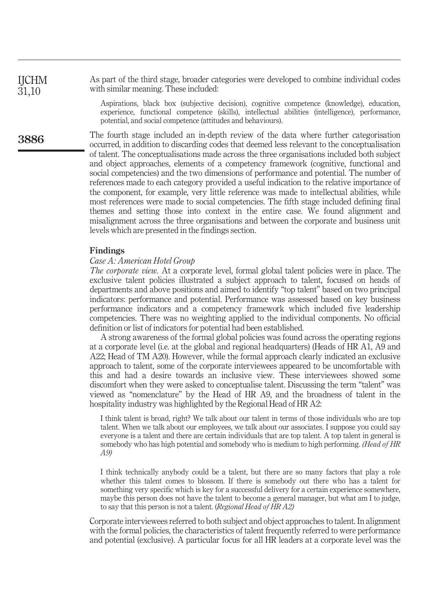As part of the third stage, broader categories were developed to combine individual codes with similar meaning. These included:

> Aspirations, black box (subjective decision), cognitive competence (knowledge), education, experience, functional competence (skills), intellectual abilities (intelligence), performance, potential, and social competence (attitudes and behaviours).

The fourth stage included an in-depth review of the data where further categorisation occurred, in addition to discarding codes that deemed less relevant to the conceptualisation of talent. The conceptualisations made across the three organisations included both subject and object approaches, elements of a competency framework (cognitive, functional and social competencies) and the two dimensions of performance and potential. The number of references made to each category provided a useful indication to the relative importance of the component, for example, very little reference was made to intellectual abilities, while most references were made to social competencies. The fifth stage included defining final themes and setting those into context in the entire case. We found alignment and misalignment across the three organisations and between the corporate and business unit levels which are presented in the findings section.

#### Findings

#### Case A: American Hotel Group

The corporate view. At a corporate level, formal global talent policies were in place. The exclusive talent policies illustrated a subject approach to talent, focused on heads of departments and above positions and aimed to identify "top talent" based on two principal indicators: performance and potential. Performance was assessed based on key business performance indicators and a competency framework which included five leadership competencies. There was no weighting applied to the individual components. No official definition or list of indicators for potential had been established.

A strong awareness of the formal global policies was found across the operating regions at a corporate level (i.e. at the global and regional headquarters) (Heads of HR A1, A9 and A22; Head of TM A20). However, while the formal approach clearly indicated an exclusive approach to talent, some of the corporate interviewees appeared to be uncomfortable with this and had a desire towards an inclusive view. These interviewees showed some discomfort when they were asked to conceptualise talent. Discussing the term "talent" was viewed as "nomenclature" by the Head of HR A9, and the broadness of talent in the hospitality industry was highlighted by the Regional Head of HR A2:

I think talent is broad, right? We talk about our talent in terms of those individuals who are top talent. When we talk about our employees, we talk about our associates. I suppose you could say everyone is a talent and there are certain individuals that are top talent. A top talent in general is somebody who has high potential and somebody who is medium to high performing. (Head of HR A9)

I think technically anybody could be a talent, but there are so many factors that play a role whether this talent comes to blossom. If there is somebody out there who has a talent for something very specific which is key for a successful delivery for a certain experience somewhere, maybe this person does not have the talent to become a general manager, but what am I to judge, to say that this person is not a talent. (Regional Head of HR A2)

Corporate interviewees referred to both subject and object approaches to talent. In alignment with the formal policies, the characteristics of talent frequently referred to were performance and potential (exclusive). A particular focus for all HR leaders at a corporate level was the

IJCHM 31,10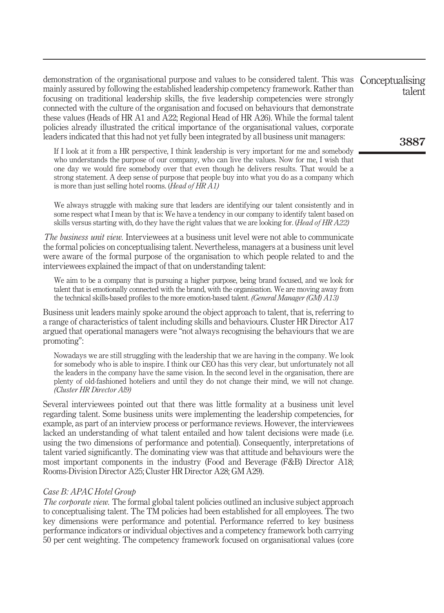demonstration of the organisational purpose and values to be considered talent. This was Conceptualising mainly assured by following the established leadership competency framework. Rather than focusing on traditional leadership skills, the five leadership competencies were strongly connected with the culture of the organisation and focused on behaviours that demonstrate these values (Heads of HR A1 and A22; Regional Head of HR A26). While the formal talent policies already illustrated the critical importance of the organisational values, corporate leaders indicated that this had not yet fully been integrated by all business unit managers:

If I look at it from a HR perspective, I think leadership is very important for me and somebody who understands the purpose of our company, who can live the values. Now for me, I wish that one day we would fire somebody over that even though he delivers results. That would be a strong statement. A deep sense of purpose that people buy into what you do as a company which is more than just selling hotel rooms. (Head of HR A1)

We always struggle with making sure that leaders are identifying our talent consistently and in some respect what I mean by that is: We have a tendency in our company to identify talent based on skills versus starting with, do they have the right values that we are looking for. (Head of HR A22)

The business unit view. Interviewees at a business unit level were not able to communicate the formal policies on conceptualising talent. Nevertheless, managers at a business unit level were aware of the formal purpose of the organisation to which people related to and the interviewees explained the impact of that on understanding talent:

We aim to be a company that is pursuing a higher purpose, being brand focused, and we look for talent that is emotionally connected with the brand, with the organisation. We are moving away from the technical skills-based profiles to the more emotion-based talent. (General Manager (GM) A13)

Business unit leaders mainly spoke around the object approach to talent, that is, referring to a range of characteristics of talent including skills and behaviours. Cluster HR Director A17 argued that operational managers were "not always recognising the behaviours that we are promoting":

Nowadays we are still struggling with the leadership that we are having in the company. We look for somebody who is able to inspire. I think our CEO has this very clear, but unfortunately not all the leaders in the company have the same vision. In the second level in the organisation, there are plenty of old-fashioned hoteliers and until they do not change their mind, we will not change. (Cluster HR Director Al9)

Several interviewees pointed out that there was little formality at a business unit level regarding talent. Some business units were implementing the leadership competencies, for example, as part of an interview process or performance reviews. However, the interviewees lacked an understanding of what talent entailed and how talent decisions were made (i.e. using the two dimensions of performance and potential). Consequently, interpretations of talent varied significantly. The dominating view was that attitude and behaviours were the most important components in the industry (Food and Beverage (F&B) Director A18; Rooms-Division Director A25; Cluster HR Director A28; GM A29).

#### Case B: APAC Hotel Group

The corporate view. The formal global talent policies outlined an inclusive subject approach to conceptualising talent. The TM policies had been established for all employees. The two key dimensions were performance and potential. Performance referred to key business performance indicators or individual objectives and a competency framework both carrying 50 per cent weighting. The competency framework focused on organisational values (core 3887

talent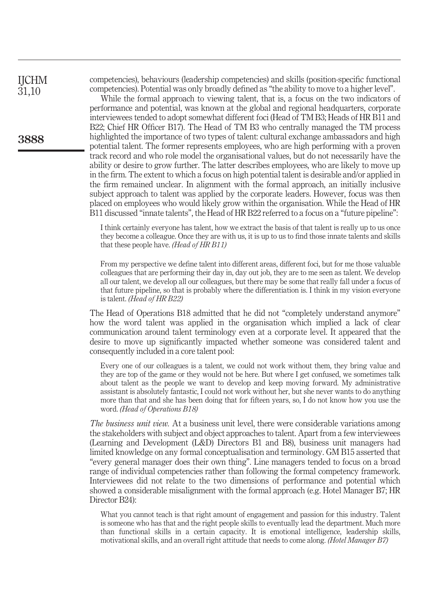competencies), behaviours (leadership competencies) and skills (position-specific functional competencies). Potential was only broadly defined as "the ability to move to a higher level".

While the formal approach to viewing talent, that is, a focus on the two indicators of performance and potential, was known at the global and regional headquarters, corporate interviewees tended to adopt somewhat different foci (Head of TM B3; Heads of HR B11 and B22; Chief HR Officer B17). The Head of TM B3 who centrally managed the TM process highlighted the importance of two types of talent: cultural exchange ambassadors and high potential talent. The former represents employees, who are high performing with a proven track record and who role model the organisational values, but do not necessarily have the ability or desire to grow further. The latter describes employees, who are likely to move up in the firm. The extent to which a focus on high potential talent is desirable and/or applied in the firm remained unclear. In alignment with the formal approach, an initially inclusive subject approach to talent was applied by the corporate leaders. However, focus was then placed on employees who would likely grow within the organisation. While the Head of HR B11 discussed "innate talents", the Head of HR B22 referred to a focus on a "future pipeline":

I think certainly everyone has talent, how we extract the basis of that talent is really up to us once they become a colleague. Once they are with us, it is up to us to find those innate talents and skills that these people have. (Head of HR B11)

From my perspective we define talent into different areas, different foci, but for me those valuable colleagues that are performing their day in, day out job, they are to me seen as talent. We develop all our talent, we develop all our colleagues, but there may be some that really fall under a focus of that future pipeline, so that is probably where the differentiation is. I think in my vision everyone is talent. (Head of HR B22)

The Head of Operations B18 admitted that he did not "completely understand anymore" how the word talent was applied in the organisation which implied a lack of clear communication around talent terminology even at a corporate level. It appeared that the desire to move up significantly impacted whether someone was considered talent and consequently included in a core talent pool:

Every one of our colleagues is a talent, we could not work without them, they bring value and they are top of the game or they would not be here. But where I get confused, we sometimes talk about talent as the people we want to develop and keep moving forward. My administrative assistant is absolutely fantastic, I could not work without her, but she never wants to do anything more than that and she has been doing that for fifteen years, so, I do not know how you use the word. (Head of Operations B18)

The business unit view. At a business unit level, there were considerable variations among the stakeholders with subject and object approaches to talent. Apart from a few interviewees (Learning and Development (L&D) Directors B1 and B8), business unit managers had limited knowledge on any formal conceptualisation and terminology. GM B15 asserted that "every general manager does their own thing". Line managers tended to focus on a broad range of individual competencies rather than following the formal competency framework. Interviewees did not relate to the two dimensions of performance and potential which showed a considerable misalignment with the formal approach (e.g. Hotel Manager B7; HR Director B24):

What you cannot teach is that right amount of engagement and passion for this industry. Talent is someone who has that and the right people skills to eventually lead the department. Much more than functional skills in a certain capacity. It is emotional intelligence, leadership skills, motivational skills, and an overall right attitude that needs to come along. (Hotel Manager B7)

**IICHM** 31,10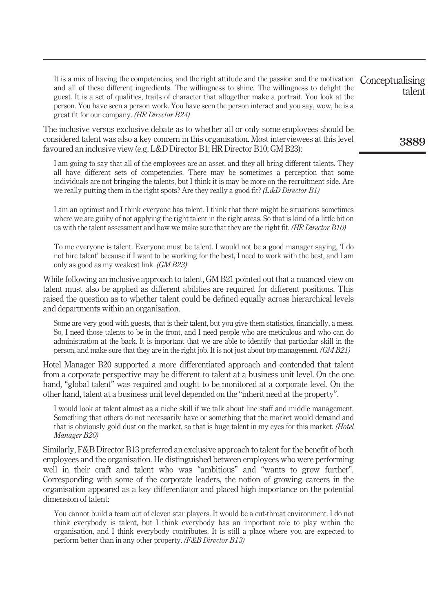It is a mix of having the competencies, and the right attitude and the passion and the motivation Conceptualising and all of these different ingredients. The willingness to shine. The willingness to delight the guest. It is a set of qualities, traits of character that altogether make a portrait. You look at the person. You have seen a person work. You have seen the person interact and you say, wow, he is a great fit for our company. (HR Director B24)

The inclusive versus exclusive debate as to whether all or only some employees should be considered talent was also a key concern in this organisation. Most interviewees at this level favoured an inclusive view (e.g. L&D Director B1; HR Director B10; GM B23):

I am going to say that all of the employees are an asset, and they all bring different talents. They all have different sets of competencies. There may be sometimes a perception that some individuals are not bringing the talents, but I think it is may be more on the recruitment side. Are we really putting them in the right spots? Are they really a good fit? (L&D Director B1)

I am an optimist and I think everyone has talent. I think that there might be situations sometimes where we are guilty of not applying the right talent in the right areas. So that is kind of a little bit on us with the talent assessment and how we make sure that they are the right fit. (HR Director B10)

To me everyone is talent. Everyone must be talent. I would not be a good manager saying, 'I do not hire talent' because if I want to be working for the best, I need to work with the best, and I am only as good as my weakest link. (GM B23)

While following an inclusive approach to talent, GM B21 pointed out that a nuanced view on talent must also be applied as different abilities are required for different positions. This raised the question as to whether talent could be defined equally across hierarchical levels and departments within an organisation.

Some are very good with guests, that is their talent, but you give them statistics, financially, a mess. So, I need those talents to be in the front, and I need people who are meticulous and who can do administration at the back. It is important that we are able to identify that particular skill in the person, and make sure that they are in the right job. It is not just about top management. (GM B21)

Hotel Manager B20 supported a more differentiated approach and contended that talent from a corporate perspective may be different to talent at a business unit level. On the one hand, "global talent" was required and ought to be monitored at a corporate level. On the other hand, talent at a business unit level depended on the "inherit need at the property".

I would look at talent almost as a niche skill if we talk about line staff and middle management. Something that others do not necessarily have or something that the market would demand and that is obviously gold dust on the market, so that is huge talent in my eyes for this market. *(Hotel*) Manager B20)

Similarly, F&B Director B13 preferred an exclusive approach to talent for the benefit of both employees and the organisation. He distinguished between employees who were performing well in their craft and talent who was "ambitious" and "wants to grow further". Corresponding with some of the corporate leaders, the notion of growing careers in the organisation appeared as a key differentiator and placed high importance on the potential dimension of talent:

You cannot build a team out of eleven star players. It would be a cut-throat environment. I do not think everybody is talent, but I think everybody has an important role to play within the organisation, and I think everybody contributes. It is still a place where you are expected to perform better than in any other property. (F&B Director B13)

talent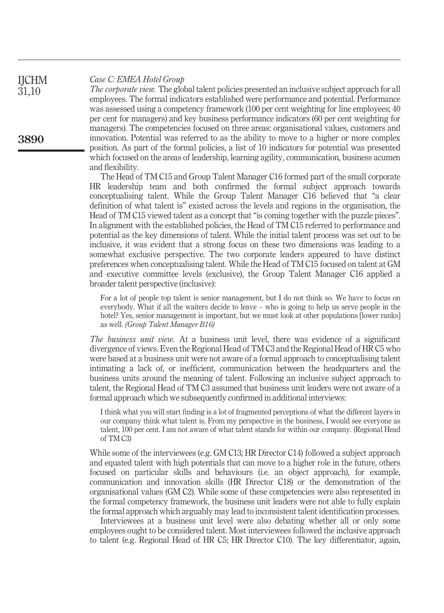#### Case C: EMEA Hotel Group

**IICHM** 31,10

3890

The corporate view. The global talent policies presented an inclusive subject approach for all employees. The formal indicators established were performance and potential. Performance was assessed using a competency framework (100 per cent weighting for line employees; 40 per cent for managers) and key business performance indicators (60 per cent weighting for managers). The competencies focused on three areas: organisational values, customers and innovation. Potential was referred to as the ability to move to a higher or more complex position. As part of the formal policies, a list of 10 indicators for potential was presented which focused on the areas of leadership, learning agility, communication, business acumen and flexibility.

The Head of TM C15 and Group Talent Manager C16 formed part of the small corporate HR leadership team and both confirmed the formal subject approach towards conceptualising talent. While the Group Talent Manager C16 believed that "a clear definition of what talent is" existed across the levels and regions in the organisation, the Head of TM C15 viewed talent as a concept that "is coming together with the puzzle pieces". In alignment with the established policies, the Head of TM C15 referred to performance and potential as the key dimensions of talent. While the initial talent process was set out to be inclusive, it was evident that a strong focus on these two dimensions was leading to a somewhat exclusive perspective. The two corporate leaders appeared to have distinct preferences when conceptualising talent. While the Head of TM C15 focused on talent at GM and executive committee levels (exclusive), the Group Talent Manager C16 applied a broader talent perspective (inclusive):

For a lot of people top talent is senior management, but I do not think so. We have to focus on everybody. What if all the waiters decide to leave – who is going to help us serve people in the hotel? Yes, senior management is important, but we must look at other populations [lower ranks] as well. (Group Talent Manager B16)

The business unit view. At a business unit level, there was evidence of a significant divergence of views. Even the Regional Head of TM C3 and the Regional Head of HR C5 who were based at a business unit were not aware of a formal approach to conceptualising talent intimating a lack of, or inefficient, communication between the headquarters and the business units around the meaning of talent. Following an inclusive subject approach to talent, the Regional Head of TM C3 assumed that business unit leaders were not aware of a formal approach which we subsequently confirmed in additional interviews:

I think what you will start finding is a lot of fragmented perceptions of what the different layers in our company think what talent is. From my perspective in the business, I would see everyone as talent, 100 per cent. I am not aware of what talent stands for within our company. (Regional Head of TM C3)

While some of the interviewees (e.g. GM C13; HR Director C14) followed a subject approach and equated talent with high potentials that can move to a higher role in the future, others focused on particular skills and behaviours (i.e. an object approach), for example, communication and innovation skills (HR Director C18) or the demonstration of the organisational values (GM C2). While some of these competencies were also represented in the formal competency framework, the business unit leaders were not able to fully explain the formal approach which arguably may lead to inconsistent talent identification processes.

Interviewees at a business unit level were also debating whether all or only some employees ought to be considered talent. Most interviewees followed the inclusive approach to talent (e.g. Regional Head of HR C5; HR Director C10). The key differentiator, again,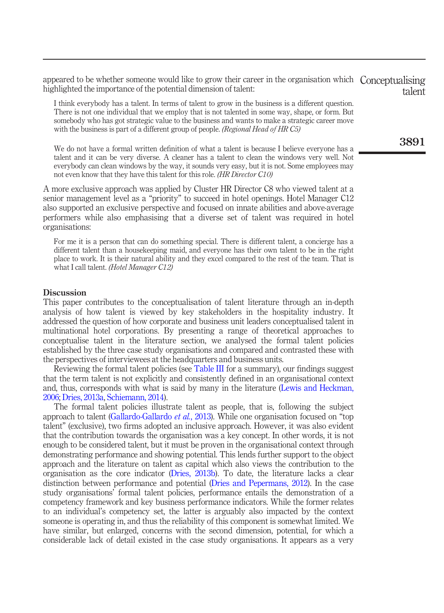appeared to be whether someone would like to grow their career in the organisation which Conceptualising highlighted the importance of the potential dimension of talent: talent

I think everybody has a talent. In terms of talent to grow in the business is a different question. There is not one individual that we employ that is not talented in some way, shape, or form. But somebody who has got strategic value to the business and wants to make a strategic career move with the business is part of a different group of people. *(Regional Head of HR C5)* 

We do not have a formal written definition of what a talent is because I believe everyone has a talent and it can be very diverse. A cleaner has a talent to clean the windows very well. Not everybody can clean windows by the way, it sounds very easy, but it is not. Some employees may not even know that they have this talent for this role. (HR Director C10)

A more exclusive approach was applied by Cluster HR Director C8 who viewed talent at a senior management level as a "priority" to succeed in hotel openings. Hotel Manager C12 also supported an exclusive perspective and focused on innate abilities and above-average performers while also emphasising that a diverse set of talent was required in hotel organisations:

For me it is a person that can do something special. There is different talent, a concierge has a different talent than a housekeeping maid, and everyone has their own talent to be in the right place to work. It is their natural ability and they excel compared to the rest of the team. That is what I call talent. (Hotel Manager C12)

#### **Discussion**

This paper contributes to the conceptualisation of talent literature through an in-depth analysis of how talent is viewed by key stakeholders in the hospitality industry. It addressed the question of how corporate and business unit leaders conceptualised talent in multinational hotel corporations. By presenting a range of theoretical approaches to conceptualise talent in the literature section, we analysed the formal talent policies established by the three case study organisations and compared and contrasted these with the perspectives of interviewees at the headquarters and business units.

Reviewing the formal talent policies (see [Table III](#page-15-0) for a summary), our findings suggest that the term talent is not explicitly and consistently defined in an organisational context and, thus, corresponds with what is said by many in the literature [\(Lewis and Heckman,](#page-20-17) [2006;](#page-20-17) [Dries, 2013a](#page-19-18), [Schiemann, 2014](#page-20-5)).

The formal talent policies illustrate talent as people, that is, following the subject approach to talent [\(Gallardo-Gallardo](#page-19-4) *et al.*, 2013). While one organisation focused on "top talent" (exclusive), two firms adopted an inclusive approach. However, it was also evident that the contribution towards the organisation was a key concept. In other words, it is not enough to be considered talent, but it must be proven in the organisational context through demonstrating performance and showing potential. This lends further support to the object approach and the literature on talent as capital which also views the contribution to the organisation as the core indicator [\(Dries, 2013b](#page-19-5)). To date, the literature lacks a clear distinction between performance and potential [\(Dries and Pepermans, 2012\)](#page-19-1). In the case study organisations' formal talent policies, performance entails the demonstration of a competency framework and key business performance indicators. While the former relates to an individual's competency set, the latter is arguably also impacted by the context someone is operating in, and thus the reliability of this component is somewhat limited. We have similar, but enlarged, concerns with the second dimension, potential, for which a considerable lack of detail existed in the case study organisations. It appears as a very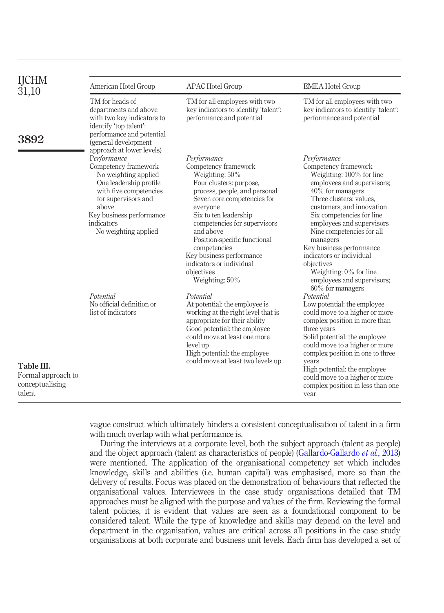| <b>IJCHM</b><br>31,10                                         | American Hotel Group                                                                                                                                                                                                                            | <b>APAC Hotel Group</b>                                                                                                                                                                                                                                                                                                                                                       | <b>EMEA Hotel Group</b>                                                                                                                                                                                                                                                                                                                                                                                          |  |
|---------------------------------------------------------------|-------------------------------------------------------------------------------------------------------------------------------------------------------------------------------------------------------------------------------------------------|-------------------------------------------------------------------------------------------------------------------------------------------------------------------------------------------------------------------------------------------------------------------------------------------------------------------------------------------------------------------------------|------------------------------------------------------------------------------------------------------------------------------------------------------------------------------------------------------------------------------------------------------------------------------------------------------------------------------------------------------------------------------------------------------------------|--|
| 3892                                                          | TM for heads of<br>departments and above<br>with two key indicators to<br>identify 'top talent':<br>performance and potential<br>(general development                                                                                           | TM for all employees with two<br>key indicators to identify 'talent':<br>performance and potential                                                                                                                                                                                                                                                                            | TM for all employees with two<br>key indicators to identify 'talent':<br>performance and potential                                                                                                                                                                                                                                                                                                               |  |
|                                                               | approach at lower levels)<br>Performance<br>Competency framework<br>No weighting applied<br>One leadership profile<br>with five competencies<br>for supervisors and<br>above.<br>Key business performance<br>indicators<br>No weighting applied | Performance<br>Competency framework<br>Weighting: 50%<br>Four clusters: purpose,<br>process, people, and personal<br>Seven core competencies for<br>everyone<br>Six to ten leadership<br>competencies for supervisors<br>and above<br>Position-specific functional<br>competencies<br>Key business performance<br>indicators or individual<br>objectives<br>Weighting: $50\%$ | Performance<br>Competency framework<br>Weighting: 100% for line<br>employees and supervisors;<br>$40\%$ for managers<br>Three clusters: values,<br>customers, and innovation<br>Six competencies for line<br>employees and supervisors<br>Nine competencies for all<br>managers<br>Key business performance<br>indicators or individual<br>objectives<br>Weighting: $0\%$ for line<br>employees and supervisors; |  |
| Table III.<br>Formal approach to<br>conceptualising<br>talent | Potential<br>No official definition or<br>list of indicators                                                                                                                                                                                    | Potential<br>At potential: the employee is<br>working at the right level that is<br>appropriate for their ability<br>Good potential: the employee<br>could move at least one more<br>level up<br>High potential: the employee<br>could move at least two levels up                                                                                                            | $60\%$ for managers<br>Potential<br>Low potential: the employee<br>could move to a higher or more<br>complex position in more than<br>three years<br>Solid potential: the employee<br>could move to a higher or more<br>complex position in one to three<br>vears<br>High potential: the employee<br>could move to a higher or more<br>complex position in less than one<br>year                                 |  |

<span id="page-15-0"></span>vague construct which ultimately hinders a consistent conceptualisation of talent in a firm with much overlap with what performance is.

During the interviews at a corporate level, both the subject approach (talent as people) and the object approach (talent as characteristics of people) ([Gallardo-Gallardo](#page-19-4) et al., 2013) were mentioned. The application of the organisational competency set which includes knowledge, skills and abilities (i.e. human capital) was emphasised, more so than the delivery of results. Focus was placed on the demonstration of behaviours that reflected the organisational values. Interviewees in the case study organisations detailed that TM approaches must be aligned with the purpose and values of the firm. Reviewing the formal talent policies, it is evident that values are seen as a foundational component to be considered talent. While the type of knowledge and skills may depend on the level and department in the organisation, values are critical across all positions in the case study organisations at both corporate and business unit levels. Each firm has developed a set of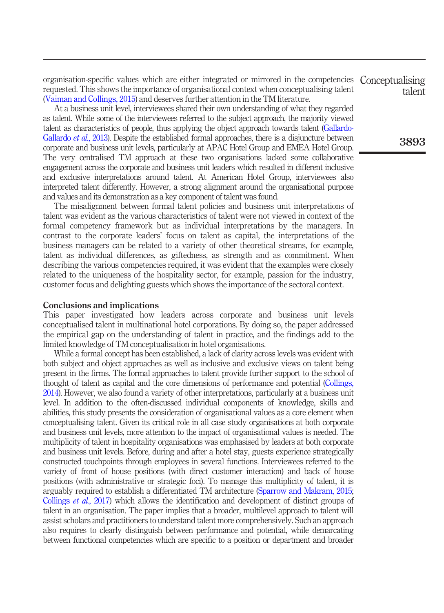organisation-specific values which are either integrated or mirrored in the competencies Conceptualising requested. This shows the importance of organisational context when conceptualising talent [\(Vaiman and Collings, 2015](#page-21-2)) and deserves further attention in the TM literature.

At a business unit level, interviewees shared their own understanding of what they regarded as talent. While some of the interviewees referred to the subject approach, the majority viewed talent as characteristics of people, thus applying the object approach towards talent [\(Gallardo-](#page-19-4)[Gallardo](#page-19-4) *et al.*, 2013). Despite the established formal approaches, there is a disjuncture between corporate and business unit levels, particularly at APAC Hotel Group and EMEA Hotel Group. The very centralised TM approach at these two organisations lacked some collaborative engagement across the corporate and business unit leaders which resulted in different inclusive and exclusive interpretations around talent. At American Hotel Group, interviewees also interpreted talent differently. However, a strong alignment around the organisational purpose and values and its demonstration as a key component of talent was found.

The misalignment between formal talent policies and business unit interpretations of talent was evident as the various characteristics of talent were not viewed in context of the formal competency framework but as individual interpretations by the managers. In contrast to the corporate leaders' focus on talent as capital, the interpretations of the business managers can be related to a variety of other theoretical streams, for example, talent as individual differences, as giftedness, as strength and as commitment. When describing the various competencies required, it was evident that the examples were closely related to the uniqueness of the hospitality sector, for example, passion for the industry, customer focus and delighting guests which shows the importance of the sectoral context.

#### Conclusions and implications

This paper investigated how leaders across corporate and business unit levels conceptualised talent in multinational hotel corporations. By doing so, the paper addressed the empirical gap on the understanding of talent in practice, and the findings add to the limited knowledge of TM conceptualisation in hotel organisations.

While a formal concept has been established, a lack of clarity across levels was evident with both subject and object approaches as well as inclusive and exclusive views on talent being present in the firms. The formal approaches to talent provide further support to the school of thought of talent as capital and the core dimensions of performance and potential [\(Collings,](#page-18-5) [2014\)](#page-18-5). However, we also found a variety of other interpretations, particularly at a business unit level. In addition to the often-discussed individual components of knowledge, skills and abilities, this study presents the consideration of organisational values as a core element when conceptualising talent. Given its critical role in all case study organisations at both corporate and business unit levels, more attention to the impact of organisational values is needed. The multiplicity of talent in hospitality organisations was emphasised by leaders at both corporate and business unit levels. Before, during and after a hotel stay, guests experience strategically constructed touchpoints through employees in several functions. Interviewees referred to the variety of front of house positions (with direct customer interaction) and back of house positions (with administrative or strategic foci). To manage this multiplicity of talent, it is arguably required to establish a differentiated TM architecture [\(Sparrow and Makram, 2015](#page-21-10); [Collings](#page-18-18) *et al.*, 2017) which allows the identification and development of distinct groups of talent in an organisation. The paper implies that a broader, multilevel approach to talent will assist scholars and practitioners to understand talent more comprehensively. Such an approach also requires to clearly distinguish between performance and potential, while demarcating between functional competencies which are specific to a position or department and broader

talent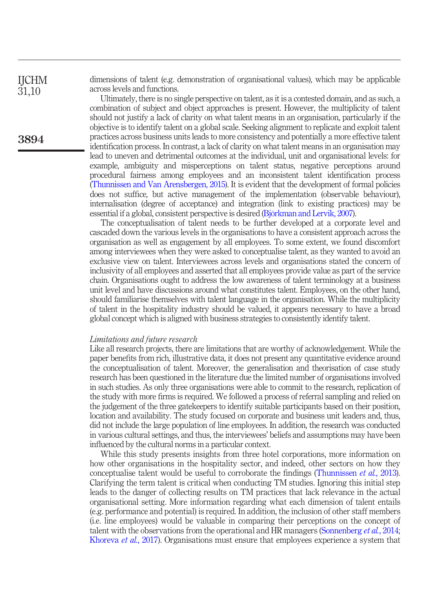IJCHM 31,10

3894

dimensions of talent (e.g. demonstration of organisational values), which may be applicable across levels and functions.

Ultimately, there is no single perspective on talent, as it is a contested domain, and as such, a combination of subject and object approaches is present. However, the multiplicity of talent should not justify a lack of clarity on what talent means in an organisation, particularly if the objective is to identify talent on a global scale. Seeking alignment to replicate and exploit talent practices across business units leads to more consistency and potentially a more effective talent identification process. In contrast, a lack of clarity on what talent means in an organisation may lead to uneven and detrimental outcomes at the individual, unit and organisational levels: for example, ambiguity and misperceptions on talent status, negative perceptions around procedural fairness among employees and an inconsistent talent identification process [\(Thunnissen and Van Arensbergen, 2015](#page-21-11)). It is evident that the development of formal policies does not suffice, but active management of the implementation (observable behaviour), internalisation (degree of acceptance) and integration (link to existing practices) may be essential if a global, consistent perspective is desired [\(Björkman and Lervik, 2007](#page-18-4)).

The conceptualisation of talent needs to be further developed at a corporate level and cascaded down the various levels in the organisations to have a consistent approach across the organisation as well as engagement by all employees. To some extent, we found discomfort among interviewees when they were asked to conceptualise talent, as they wanted to avoid an exclusive view on talent. Interviewees across levels and organisations stated the concern of inclusivity of all employees and asserted that all employees provide value as part of the service chain. Organisations ought to address the low awareness of talent terminology at a business unit level and have discussions around what constitutes talent. Employees, on the other hand, should familiarise themselves with talent language in the organisation. While the multiplicity of talent in the hospitality industry should be valued, it appears necessary to have a broad global concept which is aligned with business strategies to consistently identify talent.

#### Limitations and future research

Like all research projects, there are limitations that are worthy of acknowledgement. While the paper benefits from rich, illustrative data, it does not present any quantitative evidence around the conceptualisation of talent. Moreover, the generalisation and theorisation of case study research has been questioned in the literature due the limited number of organisations involved in such studies. As only three organisations were able to commit to the research, replication of the study with more firms is required. We followed a process of referral sampling and relied on the judgement of the three gatekeepers to identify suitable participants based on their position, location and availability. The study focused on corporate and business unit leaders and, thus, did not include the large population of line employees. In addition, the research was conducted in various cultural settings, and thus, the interviewees' beliefs and assumptions may have been influenced by the cultural norms in a particular context.

While this study presents insights from three hotel corporations, more information on how other organisations in the hospitality sector, and indeed, other sectors on how they conceptualise talent would be useful to corroborate the findings ([Thunnissen](#page-21-3) *et al.*, 2013). Clarifying the term talent is critical when conducting TM studies. Ignoring this initial step leads to the danger of collecting results on TM practices that lack relevance in the actual organisational setting. More information regarding what each dimension of talent entails (e.g. performance and potential) is required. In addition, the inclusion of other staff members (i.e. line employees) would be valuable in comparing their perceptions on the concept of talent with the observations from the operational and HR managers [\(Sonnenberg](#page-21-12) et al., 2014; [Khoreva](#page-20-18) et al., 2017). Organisations must ensure that employees experience a system that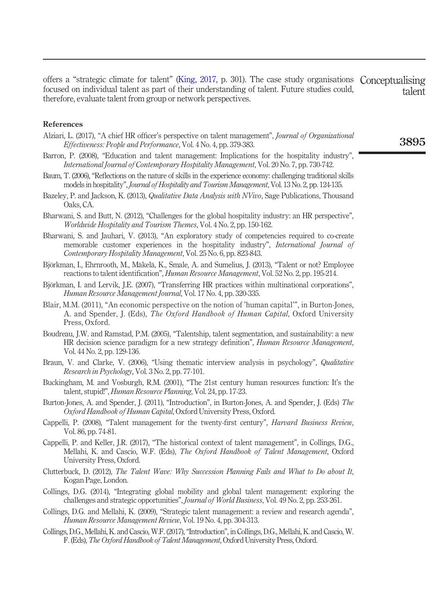offers a "strategic climate for talent" [\(King, 2017](#page-20-19), p. 301). The case study organisations Conceptualising focused on individual talent as part of their understanding of talent. Future studies could, therefore, evaluate talent from group or network perspectives. talent

#### References

- <span id="page-18-11"></span>Alziari, L. (2017), "A chief HR officer's perspective on talent management", Journal of Organizational Effectiveness: People and Performance, Vol. 4 No. 4, pp. 379-383.
- <span id="page-18-15"></span>Barron, P. (2008), "Education and talent management: Implications for the hospitality industry", International Journal of Contemporary Hospitality Management, Vol. 20 No. 7, pp. 730-742.
- <span id="page-18-14"></span>Baum, T. (2006), "Reflections on the nature of skills in the experience economy: challenging traditional skills models in hospitality", Journal of Hospitality and Tourism Management, Vol. 13 No. 2, pp. 124-135.
- <span id="page-18-17"></span>Bazeley, P. and Jackson, K. (2013), *Qualitative Data Analysis with NVivo*, Sage Publications, Thousand Oaks, CA.
- <span id="page-18-12"></span>Bharwani, S. and Butt, N. (2012), "Challenges for the global hospitality industry: an HR perspective", Worldwide Hospitality and Tourism Themes, Vol. 4 No. 2, pp. 150-162.
- <span id="page-18-13"></span>Bharwani, S. and Jauhari, V. (2013), "An exploratory study of competencies required to co-create memorable customer experiences in the hospitality industry", International Journal of Contemporary Hospitality Management, Vol. 25 No. 6, pp. 823-843.
- <span id="page-18-1"></span>Björkman, I., Ehrnrooth, M., Mäkelä, K., Smale, A. and Sumelius, J. (2013), "Talent or not? Employee reactions to talent identification", Human Resource Management, Vol. 52 No. 2, pp. 195-214.
- <span id="page-18-4"></span>Björkman, I. and Lervik, J.E. (2007), "Transferring HR practices within multinational corporations", Human Resource Management Journal, Vol. 17 No. 4, pp. 320-335.
- <span id="page-18-6"></span>Blair, M.M. (2011), "An economic perspective on the notion of 'human capital'", in Burton-Jones, A. and Spender, J. (Eds), The Oxford Handbook of Human Capital, Oxford University Press, Oxford.
- <span id="page-18-9"></span>Boudreau, J.W. and Ramstad, P.M. (2005), "Talentship, talent segmentation, and sustainability: a new HR decision science paradigm for a new strategy definition", Human Resource Management, Vol. 44 No. 2, pp. 129-136.
- <span id="page-18-16"></span>Braun, V. and Clarke, V. (2006), "Using thematic interview analysis in psychology", *Qualitative* Research in Psychology, Vol. 3 No. 2, pp. 77-101.
- <span id="page-18-8"></span>Buckingham, M. and Vosburgh, R.M. (2001), "The 21st century human resources function: It's the talent, stupid!", Human Resource Planning, Vol. 24, pp. 17-23.
- <span id="page-18-7"></span>Burton-Jones, A. and Spender, J. (2011), "Introduction", in Burton-Jones, A. and Spender, J. (Eds) The Oxford Handbook of Human Capital, Oxford University Press, Oxford.
- <span id="page-18-2"></span>Cappelli, P. (2008), "Talent management for the twenty-first century", *Harvard Business Review*, Vol. 86, pp. 74-81.
- <span id="page-18-0"></span>Cappelli, P. and Keller, J.R. (2017), "The historical context of talent management", in Collings, D.G., Mellahi, K. and Cascio, W.F. (Eds), The Oxford Handbook of Talent Management, Oxford University Press, Oxford.
- <span id="page-18-10"></span>Clutterbuck, D. (2012), The Talent Wave: Why Succession Planning Fails and What to Do about It, Kogan Page, London.
- <span id="page-18-5"></span>Collings, D.G. (2014), "Integrating global mobility and global talent management: exploring the challenges and strategic opportunities", Journal of World Business, Vol. 49 No. 2, pp. 253-261.
- <span id="page-18-3"></span>Collings, D.G. and Mellahi, K. (2009), "Strategic talent management: a review and research agenda", Human Resource Management Review, Vol. 19 No. 4, pp. 304-313.
- <span id="page-18-18"></span>Collings, D.G., Mellahi, K. and Cascio, W.F. (2017),"Introduction", in Collings, D.G., Mellahi, K. and Cascio, W. F. (Eds),The Oxford Handbook of Talent Management, Oxford University Press, Oxford.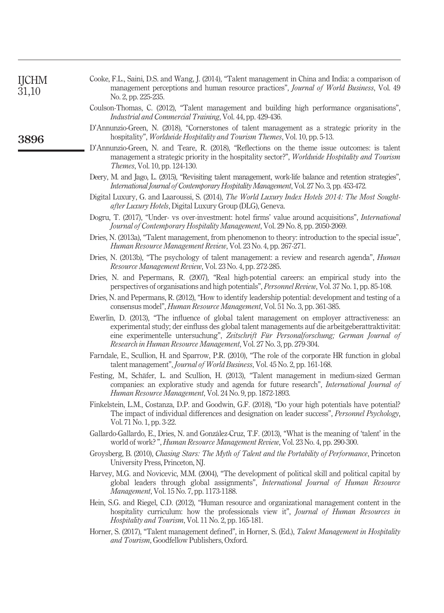<span id="page-19-18"></span><span id="page-19-17"></span><span id="page-19-16"></span><span id="page-19-15"></span><span id="page-19-14"></span><span id="page-19-13"></span><span id="page-19-12"></span><span id="page-19-11"></span><span id="page-19-10"></span><span id="page-19-9"></span><span id="page-19-8"></span><span id="page-19-7"></span><span id="page-19-6"></span><span id="page-19-5"></span><span id="page-19-4"></span><span id="page-19-3"></span><span id="page-19-2"></span><span id="page-19-1"></span><span id="page-19-0"></span>

| <b>IJCHM</b><br>31,10 | Cooke, F.L., Saini, D.S. and Wang, J. (2014), "Talent management in China and India: a comparison of<br>management perceptions and human resource practices", Journal of World Business, Vol. 49<br>No. 2, pp. 225-235.                                                                                                                                            |
|-----------------------|--------------------------------------------------------------------------------------------------------------------------------------------------------------------------------------------------------------------------------------------------------------------------------------------------------------------------------------------------------------------|
|                       | Coulson-Thomas, C. (2012), "Talent management and building high performance organisations",<br>Industrial and Commercial Training, Vol. 44, pp. 429-436.                                                                                                                                                                                                           |
| 3896                  | D'Annunzio-Green, N. (2018), "Cornerstones of talent management as a strategic priority in the<br>hospitality", <i>Worldwide Hospitality and Tourism Themes</i> , Vol. 10, pp. 5-13.                                                                                                                                                                               |
|                       | D'Annunzio-Green, N. and Teare, R. (2018), "Reflections on the theme issue outcomes: is talent<br>management a strategic priority in the hospitality sector?", Worldwide Hospitality and Tourism<br><i>Themes, Vol. 10, pp. 124-130.</i>                                                                                                                           |
|                       | Deery, M. and Jago, L. (2015), "Revisiting talent management, work-life balance and retention strategies",<br>International Journal of Contemporary Hospitality Management, Vol. 27 No. 3, pp. 453-472.                                                                                                                                                            |
|                       | Digital Luxury, G. and Laaroussi, S. (2014), The World Luxury Index Hotels 2014: The Most Sought-<br><i>after Luxury Hotels</i> , Digital Luxury Group (DLG), Geneva.                                                                                                                                                                                              |
|                       | Dogru, T. (2017), "Under- vs over-investment: hotel firms' value around acquisitions", <i>International</i><br>Journal of Contemporary Hospitality Management, Vol. 29 No. 8, pp. 2050-2069.                                                                                                                                                                       |
|                       | Dries, N. (2013a), "Talent management, from phenomenon to theory: introduction to the special issue",<br>Human Resource Management Review, Vol. 23 No. 4, pp. 267-271.                                                                                                                                                                                             |
|                       | Dries, N. (2013b), "The psychology of talent management: a review and research agenda", <i>Human</i><br>Resource Management Review, Vol. 23 No. 4, pp. 272-285.                                                                                                                                                                                                    |
|                       | Dries, N. and Pepermans, R. (2007), "Real high-potential careers: an empirical study into the<br>perspectives of organisations and high potentials", Personnel Review, Vol. 37 No. 1, pp. 85-108.                                                                                                                                                                  |
|                       | Dries, N. and Pepermans, R. (2012), "How to identify leadership potential: development and testing of a<br>consensus model", Human Resource Management, Vol. 51 No. 3, pp. 361-385.                                                                                                                                                                                |
|                       | Ewerlin, D. (2013), "The influence of global talent management on employer attractiveness: an<br>experimental study; der einfluss des global talent managements auf die arbeitgeberattraktivität:<br>eine experimentelle untersuchung", Zeitschrift Für Personalforschung; German Journal of<br>Research in Human Resource Management, Vol. 27 No. 3, pp. 279-304. |
|                       | Farndale, E., Scullion, H. and Sparrow, P.R. (2010), "The role of the corporate HR function in global<br>talent management", Journal of World Business, Vol. 45 No. 2, pp. 161-168.                                                                                                                                                                                |
|                       | Festing, M., Schäfer, L. and Scullion, H. (2013), "Talent management in medium-sized German<br>companies: an explorative study and agenda for future research", <i>International Journal of</i><br>Human Resource Management, Vol. 24 No. 9, pp. 1872-1893.                                                                                                        |
|                       | Finkelstein, L.M., Costanza, D.P. and Goodwin, G.F. (2018), "Do your high potentials have potential?<br>The impact of individual differences and designation on leader success", Personnel Psychology,<br>Vol. 71 No. 1, pp. 3-22.                                                                                                                                 |
|                       | Gallardo-Gallardo, E., Dries, N. and González-Cruz, T.F. (2013), "What is the meaning of 'talent' in the<br>world of work?", Human Resource Management Review, Vol. 23 No. 4, pp. 290-300.                                                                                                                                                                         |
|                       | Groysberg, B. (2010), Chasing Stars: The Myth of Talent and the Portability of Performance, Princeton<br>University Press, Princeton, NJ.                                                                                                                                                                                                                          |
|                       | Harvey, M.G. and Novicevic, M.M. (2004), "The development of political skill and political capital by<br>global leaders through global assignments", <i>International Journal of Human Resource</i><br><i>Management, Vol. 15 No. 7, pp. 1173-1188.</i>                                                                                                            |
|                       | Hein, S.G. and Riegel, C.D. (2012), "Human resource and organizational management content in the<br>hospitality curriculum: how the professionals view it", Journal of Human Resources in<br>Hospitality and Tourism, Vol. 11 No. 2, pp. 165-181.                                                                                                                  |
|                       | Horner, S. (2017), "Talent management defined", in Horner, S. (Ed.), Talent Management in Hospitality<br>and Tourism, Goodfellow Publishers, Oxford.                                                                                                                                                                                                               |
|                       |                                                                                                                                                                                                                                                                                                                                                                    |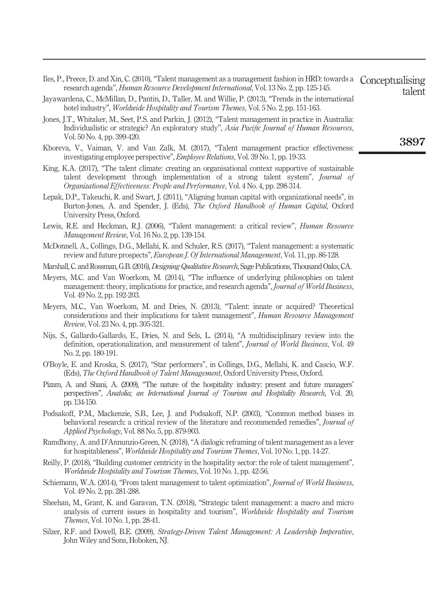- <span id="page-20-7"></span>Iles, P., Preece, D. and Xin, C. (2010), "Talent management as a management fashion in HRD: towards a Conceptualising research agenda", Human Resource Development International, Vol. 13 No. 2, pp. 125-145. talent
- <span id="page-20-10"></span>Jayawardena, C., McMillan, D., Pantin, D., Taller, M. and Willie, P. (2013), "Trends in the international hotel industry", *Worldwide Hospitality and Tourism Themes*, Vol. 5 No. 2, pp. 151-163.
- <span id="page-20-0"></span>Jones, J.T., Whitaker, M., Seet, P.S. and Parkin, J. (2012), "Talent management in practice in Australia: Individualistic or strategic? An exploratory study", Asia Pacific Journal of Human Resources, Vol. 50 No. 4, pp. 399-420.
- <span id="page-20-18"></span>Khoreva, V., Vaiman, V. and Van Zalk, M. (2017), "Talent management practice effectiveness: investigating employee perspective", Employee Relations, Vol. 39 No. 1, pp. 19-33.
- <span id="page-20-19"></span>King, K.A. (2017), "The talent climate: creating an organisational context supportive of sustainable talent development through implementation of a strong talent system", Journal of Organizational Effectiveness: People and Performance, Vol. 4 No. 4, pp. 298-314.
- <span id="page-20-6"></span>Lepak, D.P., Takeuchi, R. and Swart, J. (2011), "Aligning human capital with organizational needs", in Burton-Jones, A. and Spender, J. (Eds), The Oxford Handbook of Human Capital, Oxford University Press, Oxford.
- <span id="page-20-17"></span>Lewis, R.E. and Heckman, R.J. (2006), "Talent management: a critical review", *Human Resource* Management Review, Vol. 16 No. 2, pp. 139-154.
- <span id="page-20-1"></span>McDonnell, A., Collings, D.G., Mellahi, K. and Schuler, R.S. (2017), "Talent management: a systematic review and future prospects", *European J. Of International Management*, Vol. 11, pp. 86-128.
- <span id="page-20-15"></span>Marshall, C. and Rossman, G.B. (2016), *Designing Qualitative Research*, Sage Publications, Thousand Oaks, CA.
- <span id="page-20-9"></span>Meyers, M.C. and Van Woerkom, M. (2014), "The influence of underlying philosophies on talent management: theory, implications for practice, and research agenda", *Journal of World Business*, Vol. 49 No. 2, pp. 192-203.
- <span id="page-20-3"></span>Meyers, M.C., Van Woerkom, M. and Dries, N. (2013), "Talent: innate or acquired? Theoretical considerations and their implications for talent management", Human Resource Management Review, Vol. 23 No. 4, pp. 305-321.
- <span id="page-20-2"></span>Nijs, S., Gallardo-Gallardo, E., Dries, N. and Sels, L. (2014), "A multidisciplinary review into the definition, operationalization, and measurement of talent", *Journal of World Business*, Vol. 49 No. 2, pp. 180-191.
- <span id="page-20-8"></span>O'Boyle, E. and Kroska, S. (2017), "Star performers", in Collings, D.G., Mellahi, K. and Cascio, W.F. (Eds), The Oxford Handbook of Talent Management, Oxford University Press, Oxford.
- <span id="page-20-12"></span>Pizam, A. and Shani, A. (2009), "The nature of the hospitality industry: present and future managers' perspectives", Anatolia; an International Journal of Tourism and Hospitality Research, Vol. 20, pp. 134-150.
- <span id="page-20-16"></span>Podsakoff, P.M., Mackenzie, S.B., Lee, J. and Podsakoff, N.P. (2003), "Common method biases in behavioral research: a critical review of the literature and recommended remedies", Journal of Applied Psychology, Vol. 88 No. 5, pp. 879-903.
- <span id="page-20-14"></span>Ramdhony, A. and D'Annunzio-Green, N. (2018), "A dialogic reframing of talent management as a lever for hospitableness", Worldwide Hospitality and Tourism Themes, Vol. 10 No. 1, pp. 14-27.
- <span id="page-20-13"></span>Reilly, P. (2018), "Building customer centricity in the hospitality sector: the role of talent management", Worldwide Hospitality and Tourism Themes, Vol. 10 No. 1, pp. 42-56.
- <span id="page-20-5"></span>Schiemann, W.A. (2014), "From talent management to talent optimization", Journal of World Business, Vol. 49 No. 2, pp. 281-288.
- <span id="page-20-11"></span>Sheehan, M., Grant, K. and Garavan, T.N. (2018), "Strategic talent management: a macro and micro analysis of current issues in hospitality and tourism", Worldwide Hospitality and Tourism Themes, Vol. 10 No. 1, pp. 28-41.
- <span id="page-20-4"></span>Silzer, R.F. and Dowell, B.E. (2009), Strategy-Driven Talent Management: A Leadership Imperative, John Wiley and Sons, Hoboken, NJ.